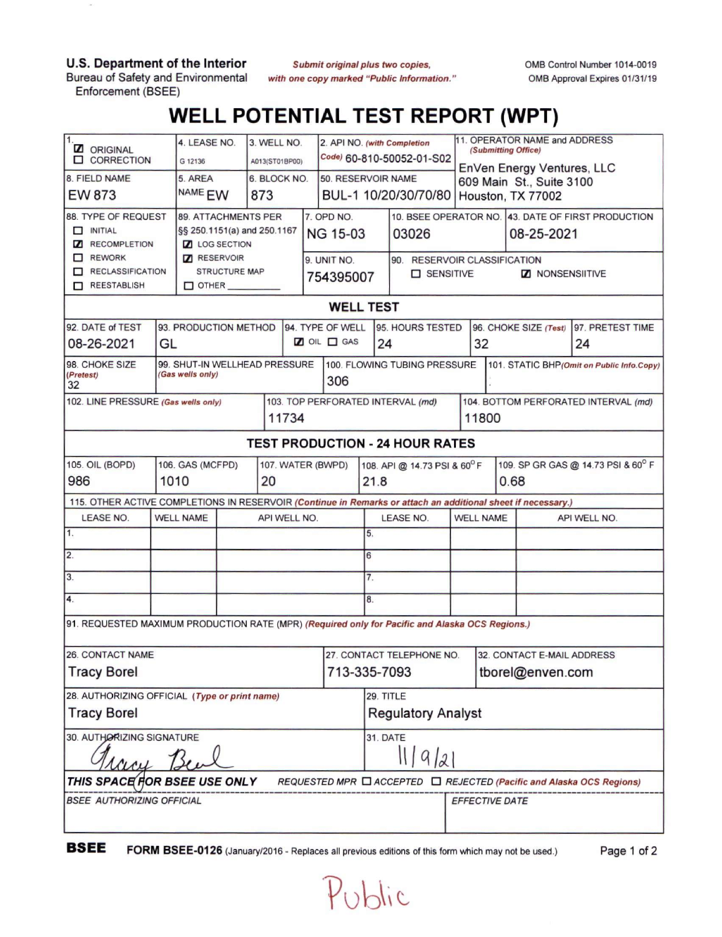**U.S. Department of the Interior** Bureau of Safety and Environmental

Enforcement (BSEE)

 $\overline{\mathcal{M}}$ 

*Submit original plus two copies, with one copy marked "Public Information.* OMB Control Number 1014-0019 OMB Approval Expires 01/31/19

## **WELL POTENTIAL TEST REPORT (WPT)**

| 11.<br><b>Z</b> ORIGINAL<br><b>CORRECTION</b>                                                                   |                                                   | 4. LEASE NO.<br>G 12136           |                     | 3. WELL NO.<br>A013(ST01BP00) |  |                      | 2. API NO. (with Completion         |                                              | Code) 60-810-50052-01-S02    |                                                        | 11. OPERATOR NAME and ADDRESS<br>(Submitting Office) |                                                    |                                    |  |  |
|-----------------------------------------------------------------------------------------------------------------|---------------------------------------------------|-----------------------------------|---------------------|-------------------------------|--|----------------------|-------------------------------------|----------------------------------------------|------------------------------|--------------------------------------------------------|------------------------------------------------------|----------------------------------------------------|------------------------------------|--|--|
| 8. FIELD NAME                                                                                                   |                                                   | 5. AREA<br>6. BLOCK NO.           |                     |                               |  |                      | 50. RESERVOIR NAME                  |                                              |                              | EnVen Energy Ventures, LLC<br>609 Main St., Suite 3100 |                                                      |                                                    |                                    |  |  |
| <b>EW 873</b>                                                                                                   |                                                   | NAME <sub>EW</sub><br>873         |                     |                               |  | BUL-1 10/20/30/70/80 |                                     |                                              | Houston, TX 77002            |                                                        |                                                      |                                                    |                                    |  |  |
| 88. TYPE OF REQUEST                                                                                             |                                                   |                                   | 89. ATTACHMENTS PER |                               |  |                      | 7. OPD NO.                          |                                              |                              |                                                        |                                                      | 10. BSEE OPERATOR NO. 43. DATE OF FIRST PRODUCTION |                                    |  |  |
| $\Box$ INITIAL                                                                                                  | §§ 250.1151(a) and 250.1167                       |                                   |                     |                               |  | <b>NG 15-03</b>      |                                     | 03026                                        |                              |                                                        | 08-25-2021                                           |                                                    |                                    |  |  |
| RECOMPLETION                                                                                                    |                                                   | <b>Z</b> LOG SECTION              |                     |                               |  |                      |                                     |                                              |                              |                                                        |                                                      |                                                    |                                    |  |  |
| REWORK<br>RECLASSIFICATION                                                                                      |                                                   | RESERVOIR<br><b>STRUCTURE MAP</b> |                     |                               |  | 9. UNIT NO.          |                                     |                                              | 90. RESERVOIR CLASSIFICATION |                                                        |                                                      |                                                    |                                    |  |  |
| REESTABLISH                                                                                                     |                                                   | $\Box$ OTHER                      |                     |                               |  | 754395007            |                                     | <b>D</b> SENSITIVE<br><b>Z</b> NONSENSIITIVE |                              |                                                        |                                                      |                                                    |                                    |  |  |
| <b>WELL TEST</b>                                                                                                |                                                   |                                   |                     |                               |  |                      |                                     |                                              |                              |                                                        |                                                      |                                                    |                                    |  |  |
| 92. DATE of TEST<br>93. PRODUCTION METHOD<br>94. TYPE OF WELL<br>95. HOURS TESTED<br>97. PRETEST TIME           |                                                   |                                   |                     |                               |  |                      |                                     |                                              |                              |                                                        |                                                      |                                                    |                                    |  |  |
| GL                                                                                                              |                                                   |                                   |                     |                               |  |                      | $20 \nL \Box$ GAS                   |                                              |                              |                                                        | 96. CHOKE SIZE (Test)                                |                                                    |                                    |  |  |
| 08-26-2021                                                                                                      |                                                   |                                   |                     |                               |  |                      | 24                                  |                                              | 32                           |                                                        | 24                                                   |                                                    |                                    |  |  |
| 98. CHOKE SIZE<br>(Pretest)<br>32                                                                               | 99. SHUT-IN WELLHEAD PRESSURE<br>(Gas wells only) |                                   |                     |                               |  |                      | 100. FLOWING TUBING PRESSURE<br>306 |                                              |                              |                                                        | 101. STATIC BHP(Omit on Public Info.Copy)            |                                                    |                                    |  |  |
| 102. LINE PRESSURE (Gas wells only)                                                                             |                                                   |                                   |                     |                               |  |                      | 103. TOP PERFORATED INTERVAL (md)   |                                              |                              |                                                        | 104. BOTTOM PERFORATED INTERVAL (md)                 |                                                    |                                    |  |  |
| 11734                                                                                                           |                                                   |                                   |                     |                               |  |                      |                                     |                                              |                              |                                                        | 11800                                                |                                                    |                                    |  |  |
| <b>TEST PRODUCTION - 24 HOUR RATES</b>                                                                          |                                                   |                                   |                     |                               |  |                      |                                     |                                              |                              |                                                        |                                                      |                                                    |                                    |  |  |
| 105. OIL (BOPD)                                                                                                 | 106. GAS (MCFPD)<br>107. WATER (BWPD)             |                                   |                     |                               |  |                      |                                     |                                              | 108. API @ 14.73 PSI & 60°F  |                                                        |                                                      |                                                    | 109. SP GR GAS @ 14.73 PSI & 60° F |  |  |
| 986                                                                                                             | 1010                                              |                                   |                     | 20                            |  |                      |                                     |                                              | 21.8                         |                                                        | 0.68                                                 |                                                    |                                    |  |  |
| 115. OTHER ACTIVE COMPLETIONS IN RESERVOIR (Continue in Remarks or attach an additional sheet if necessary.)    |                                                   |                                   |                     |                               |  |                      |                                     |                                              |                              |                                                        |                                                      |                                                    |                                    |  |  |
| <b>LEASE NO.</b>                                                                                                | <b>WELL NAME</b>                                  |                                   |                     | API WELL NO.                  |  |                      |                                     |                                              | <b>LEASE NO.</b>             |                                                        | <b>WELL NAME</b>                                     | API WELL NO.                                       |                                    |  |  |
| 1.                                                                                                              |                                                   |                                   |                     |                               |  |                      |                                     | 5.                                           |                              |                                                        |                                                      |                                                    |                                    |  |  |
| 2.                                                                                                              |                                                   |                                   |                     |                               |  |                      |                                     | 6                                            |                              |                                                        |                                                      |                                                    |                                    |  |  |
| 3.                                                                                                              |                                                   |                                   |                     |                               |  |                      |                                     | 7.                                           |                              |                                                        |                                                      |                                                    |                                    |  |  |
| 4.                                                                                                              |                                                   |                                   |                     |                               |  |                      |                                     | 8.                                           |                              |                                                        |                                                      |                                                    |                                    |  |  |
| 91. REQUESTED MAXIMUM PRODUCTION RATE (MPR) (Required only for Pacific and Alaska OCS Regions.)                 |                                                   |                                   |                     |                               |  |                      |                                     |                                              |                              |                                                        |                                                      |                                                    |                                    |  |  |
| <b>26. CONTACT NAME</b>                                                                                         |                                                   |                                   |                     |                               |  |                      |                                     | 27. CONTACT TELEPHONE NO.                    |                              | 32. CONTACT E-MAIL ADDRESS                             |                                                      |                                                    |                                    |  |  |
| <b>Tracy Borel</b>                                                                                              |                                                   |                                   |                     |                               |  |                      | 713-335-7093                        |                                              |                              |                                                        |                                                      | tborel@enven.com                                   |                                    |  |  |
| 28. AUTHORIZING OFFICIAL (Type or print name)                                                                   |                                                   |                                   |                     |                               |  |                      | 29. TITLE                           |                                              |                              |                                                        |                                                      |                                                    |                                    |  |  |
| <b>Tracy Borel</b>                                                                                              |                                                   |                                   |                     |                               |  |                      | <b>Regulatory Analyst</b>           |                                              |                              |                                                        |                                                      |                                                    |                                    |  |  |
| 30. AUTHORIZING SIGNATURE                                                                                       |                                                   |                                   |                     |                               |  |                      | <b>31. DATE</b><br>11921            |                                              |                              |                                                        |                                                      |                                                    |                                    |  |  |
| Lacy Be<br>THIS SPACE FOR BSEE USE ONLY<br>REQUESTED MPR □ ACCEPTED □ REJECTED (Pacific and Alaska OCS Regions) |                                                   |                                   |                     |                               |  |                      |                                     |                                              |                              |                                                        |                                                      |                                                    |                                    |  |  |
|                                                                                                                 |                                                   |                                   |                     |                               |  |                      |                                     |                                              |                              |                                                        |                                                      |                                                    |                                    |  |  |
| <b>BSEE AUTHORIZING OFFICIAL</b>                                                                                |                                                   |                                   |                     |                               |  |                      |                                     |                                              | EFFECTIVE DATE               |                                                        |                                                      |                                                    |                                    |  |  |
|                                                                                                                 |                                                   |                                   |                     |                               |  |                      |                                     |                                              |                              |                                                        |                                                      |                                                    |                                    |  |  |

**BSEE FORM BSEE-0126** (January/2016 - Replaces all previous editions of this form which may not be used.) Page <sup>1</sup> of <sup>2</sup>

Public